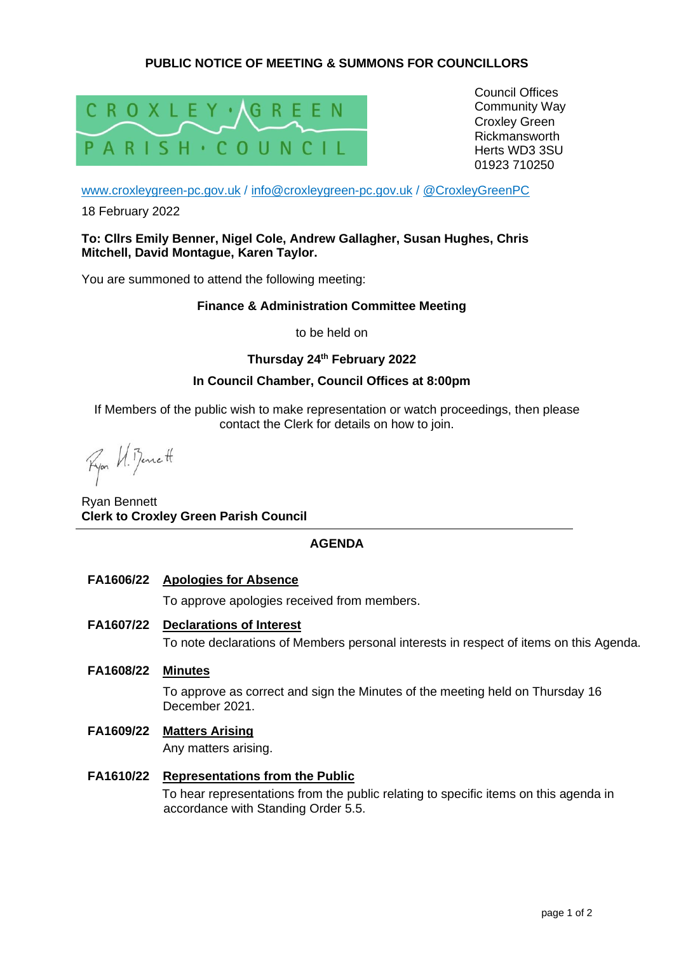# **PUBLIC NOTICE OF MEETING & SUMMONS FOR COUNCILLORS**



Council Offices Community Way Croxley Green Rickmansworth Herts WD3 3SU 01923 710250

[www.croxleygreen-pc.gov.uk](http://www.croxleygreen-pc.gov.uk/) / [info@croxleygreen-pc.gov.uk](mailto:info@croxleygreen-pc.gov.uk) / [@CroxleyGreenPC](https://twitter.com/CroxleyGreenPC)

18 February 2022

**To: Cllrs Emily Benner, Nigel Cole, Andrew Gallagher, Susan Hughes, Chris Mitchell, David Montague, Karen Taylor.**

You are summoned to attend the following meeting:

#### **Finance & Administration Committee Meeting**

to be held on

## **Thursday 24th February 2022**

## **In Council Chamber, Council Offices at 8:00pm**

If Members of the public wish to make representation or watch proceedings, then please contact the Clerk for details on how to join.

Fyor U. Benett

Ryan Bennett **Clerk to Croxley Green Parish Council**

## **AGENDA**

**FA1606/22 Apologies for Absence**

To approve apologies received from members.

**FA1607/22 Declarations of Interest**

To note declarations of Members personal interests in respect of items on this Agenda.

**FA1608/22 Minutes**

To approve as correct and sign the Minutes of the meeting held on Thursday 16 December 2021.

**FA1609/22 Matters Arising**

Any matters arising.

**FA1610/22 Representations from the Public**  To hear representations from the public relating to specific items on this agenda in accordance with Standing Order 5.5.